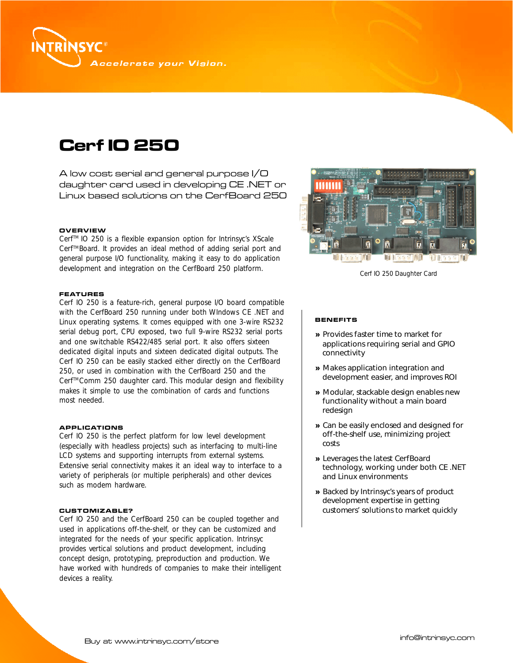

# **Cerf IO 250**

A low cost serial and general purpose I/O daughter card used in developing CE .NET or Linux based solutions on the CerfBoard 250

## **OVERVIEW**

Cerf™ IO 250 is a flexible expansion option for Intrinsyc's XScale Cerf™Board. It provides an ideal method of adding serial port and general purpose I/O functionality, making it easy to do application development and integration on the CerfBoard 250 platform.

## **FEATURES**

Cerf IO 250 is a feature-rich, general purpose I/O board compatible with the CerfBoard 250 running under both WIndows CE .NET and Linux operating systems. It comes equipped with one 3-wire RS232 serial debug port, CPU exposed, two full 9-wire RS232 serial ports and one switchable RS422/485 serial port. It also offers sixteen dedicated digital inputs and sixteen dedicated digital outputs. The Cerf IO 250 can be easily stacked either directly on the CerfBoard 250, or used in combination with the CerfBoard 250 and the Cerf™Comm 250 daughter card. This modular design and flexibility makes it simple to use the combination of cards and functions most needed.

## **APPLICATIONS**

Cerf IO 250 is the perfect platform for low level development (especially with headless projects) such as interfacing to multi-line LCD systems and supporting interrupts from external systems. Extensive serial connectivity makes it an ideal way to interface to a variety of peripherals (or multiple peripherals) and other devices such as modem hardware.

## **CUSTOMIZABLE?**

Cerf IO 250 and the CerfBoard 250 can be coupled together and used in applications off-the-shelf, or they can be customized and integrated for the needs of your specific application. Intrinsyc provides vertical solutions and product development, including concept design, prototyping, preproduction and production. We have worked with hundreds of companies to make their intelligent devices a reality.



Cerf IO 250 Daughter Card

## **BENEFITS**

- » Provides faster time to market for applications requiring serial and GPIO connectivity
- » Makes application integration and development easier, and improves ROI
- » Modular, stackable design enables new functionality without a main board redesign
- » Can be easily enclosed and designed for off-the-shelf use, minimizing project costs
- » Leverages the latest CerfBoard technology, working under both CE .NET and Linux environments
- » Backed by Intrinsyc's years of product development expertise in getting customers' solutions to market quickly